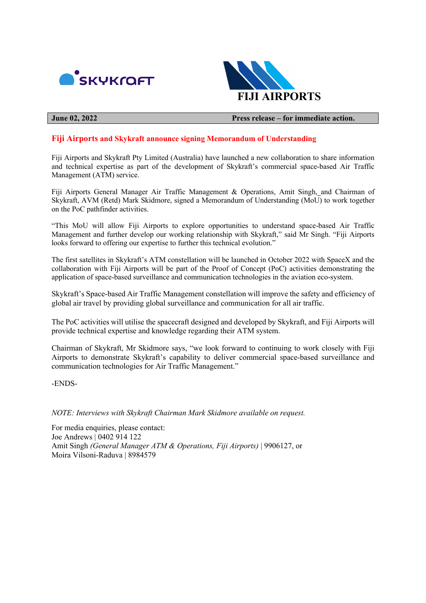



**June 02, 2022 Press release – for immediate action.**

## **Fiji Airports and Skykraft announce signing Memorandum of Understanding**

Fiji Airports and Skykraft Pty Limited (Australia) have launched a new collaboration to share information and technical expertise as part of the development of Skykraft's commercial space-based Air Traffic Management (ATM) service.

Fiji Airports General Manager Air Traffic Management & Operations, Amit Singh, and Chairman of Skykraft, AVM (Retd) Mark Skidmore, signed a Memorandum of Understanding (MoU) to work together on the PoC pathfinder activities.

"This MoU will allow Fiji Airports to explore opportunities to understand space-based Air Traffic Management and further develop our working relationship with Skykraft," said Mr Singh. "Fiji Airports looks forward to offering our expertise to further this technical evolution."

The first satellites in Skykraft's ATM constellation will be launched in October 2022 with SpaceX and the collaboration with Fiji Airports will be part of the Proof of Concept (PoC) activities demonstrating the application of space-based surveillance and communication technologies in the aviation eco-system.

Skykraft's Space-based Air Traffic Management constellation will improve the safety and efficiency of global air travel by providing global surveillance and communication for all air traffic.

The PoC activities will utilise the spacecraft designed and developed by Skykraft, and Fiji Airports will provide technical expertise and knowledge regarding their ATM system.

Chairman of Skykraft, Mr Skidmore says, "we look forward to continuing to work closely with Fiji Airports to demonstrate Skykraft's capability to deliver commercial space-based surveillance and communication technologies for Air Traffic Management."

-ENDS-

*NOTE: Interviews with Skykraft Chairman Mark Skidmore available on request.*

For media enquiries, please contact: Joe Andrews | 0402 914 122 Amit Singh *(General Manager ATM & Operations, Fiji Airports)* | 9906127, or Moira Vilsoni-Raduva | 8984579